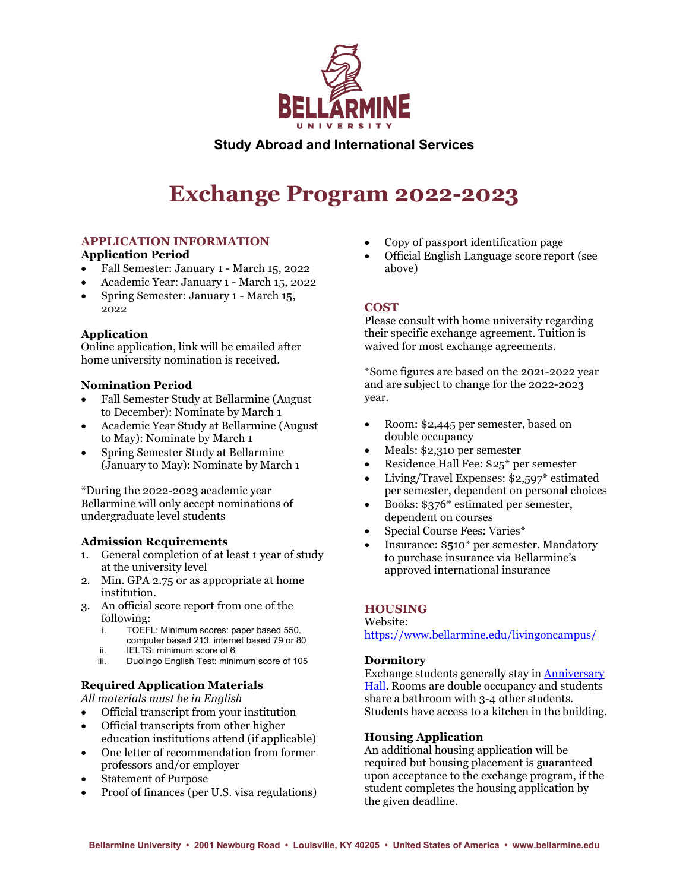

# **Study Abroad and International Services**

# **Exchange Program 2022-2023**

# **APPLICATION INFORMATION**

#### **Application Period**

- Fall Semester: January 1 March 15, 2022
- Academic Year: January 1 March 15, 2022
- Spring Semester: January 1 March 15, 2022

# **Application**

Online application, link will be emailed after home university nomination is received.

#### **Nomination Period**

- Fall Semester Study at Bellarmine (August to December): Nominate by March 1
- Academic Year Study at Bellarmine (August to May): Nominate by March 1
- Spring Semester Study at Bellarmine (January to May): Nominate by March 1

\*During the 2022-2023 academic year Bellarmine will only accept nominations of undergraduate level students

#### **Admission Requirements**

- 1. General completion of at least 1 year of study at the university level
- 2. Min. GPA 2.75 or as appropriate at home institution.
- 3. An official score report from one of the following:
	- i. TOEFL: Minimum scores: paper based 550, computer based 213, internet based 79 or 80
	- ii. IELTS: minimum score of 6<br>iii. Duolingo English Test: minii
	- Duolingo English Test: minimum score of 105

# **Required Application Materials**

*All materials must be in English*

- Official transcript from your institution
- Official transcripts from other higher education institutions attend (if applicable)
- One letter of recommendation from former professors and/or employer
- Statement of Purpose
- Proof of finances (per U.S. visa regulations)
- Copy of passport identification page
- Official English Language score report (see above)

# **COST**

Please consult with home university regarding their specific exchange agreement. Tuition is waived for most exchange agreements.

\*Some figures are based on the 2021-2022 year and are subject to change for the 2022-2023 year.

- Room: \$2,445 per semester, based on double occupancy
- Meals: \$2,310 per semester
- Residence Hall Fee: \$25\* per semester
- Living/Travel Expenses: \$2,597\* estimated per semester, dependent on personal choices
- Books: \$376<sup>\*</sup> estimated per semester, dependent on courses
- Special Course Fees: Varies\*
- Insurance: \$510\* per semester. Mandatory to purchase insurance via Bellarmine's approved international insurance

# **HOUSING**

Website:

<https://www.bellarmine.edu/livingoncampus/>

# **Dormitory**

Exchange students generally stay i[n Anniversary](https://www.bellarmine.edu/studentaffairs/residence/anniversary/)  [Hall.](https://www.bellarmine.edu/studentaffairs/residence/anniversary/) Rooms are double occupancy and students share a bathroom with 3-4 other students. Students have access to a kitchen in the building.

# **Housing Application**

An additional housing application will be required but housing placement is guaranteed upon acceptance to the exchange program, if the student completes the housing application by the given deadline.